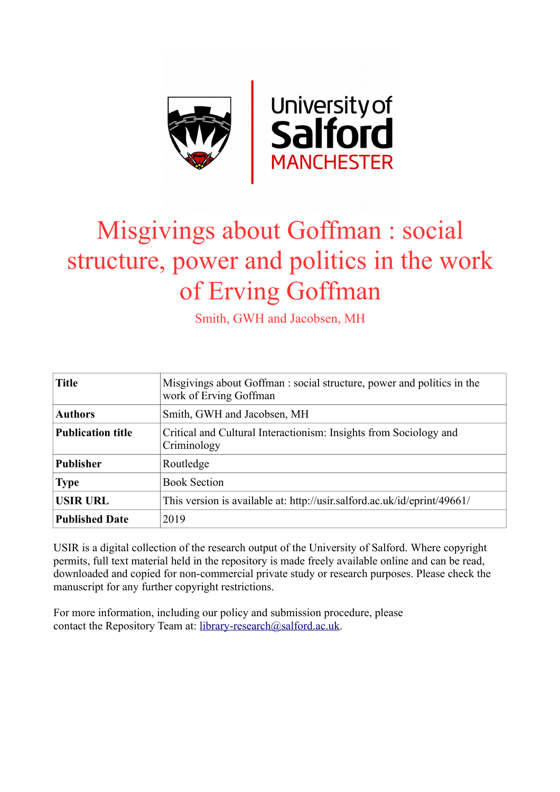

# Misgivings about Goffman : social structure, power and politics in the work of Erving Goffman

Smith, GWH and Jacobsen, MH

| <b>Title</b>             | Misgivings about Goffman: social structure, power and politics in the<br>work of Erving Goffman |
|--------------------------|-------------------------------------------------------------------------------------------------|
| <b>Authors</b>           | Smith, GWH and Jacobsen, MH                                                                     |
| <b>Publication title</b> | Critical and Cultural Interactionism: Insights from Sociology and<br>Criminology                |
| <b>Publisher</b>         | Routledge                                                                                       |
| <b>Type</b>              | <b>Book Section</b>                                                                             |
| <b>USIR URL</b>          | This version is available at: http://usir.salford.ac.uk/id/eprint/49661/                        |
| <b>Published Date</b>    | 2019                                                                                            |

USIR is a digital collection of the research output of the University of Salford. Where copyright permits, full text material held in the repository is made freely available online and can be read, downloaded and copied for non-commercial private study or research purposes. Please check the manuscript for any further copyright restrictions.

For more information, including our policy and submission procedure, please contact the Repository Team at: [library-research@salford.ac.uk.](mailto:library-research@salford.ac.uk)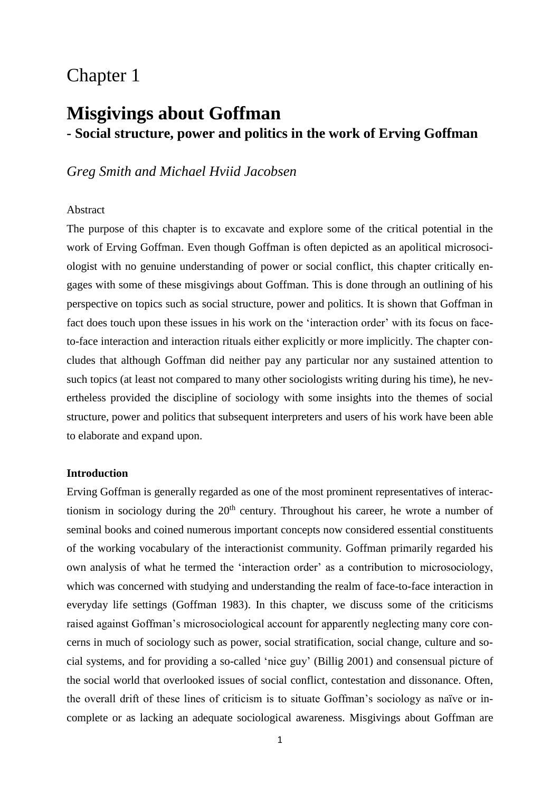## Chapter 1

## **Misgivings about Goffman - Social structure, power and politics in the work of Erving Goffman**

### *Greg Smith and Michael Hviid Jacobsen*

#### Abstract

The purpose of this chapter is to excavate and explore some of the critical potential in the work of Erving Goffman. Even though Goffman is often depicted as an apolitical microsociologist with no genuine understanding of power or social conflict, this chapter critically engages with some of these misgivings about Goffman. This is done through an outlining of his perspective on topics such as social structure, power and politics. It is shown that Goffman in fact does touch upon these issues in his work on the 'interaction order' with its focus on faceto-face interaction and interaction rituals either explicitly or more implicitly. The chapter concludes that although Goffman did neither pay any particular nor any sustained attention to such topics (at least not compared to many other sociologists writing during his time), he nevertheless provided the discipline of sociology with some insights into the themes of social structure, power and politics that subsequent interpreters and users of his work have been able to elaborate and expand upon.

#### **Introduction**

Erving Goffman is generally regarded as one of the most prominent representatives of interactionism in sociology during the  $20<sup>th</sup>$  century. Throughout his career, he wrote a number of seminal books and coined numerous important concepts now considered essential constituents of the working vocabulary of the interactionist community. Goffman primarily regarded his own analysis of what he termed the 'interaction order' as a contribution to microsociology, which was concerned with studying and understanding the realm of face-to-face interaction in everyday life settings (Goffman 1983). In this chapter, we discuss some of the criticisms raised against Goffman's microsociological account for apparently neglecting many core concerns in much of sociology such as power, social stratification, social change, culture and social systems, and for providing a so-called 'nice guy' (Billig 2001) and consensual picture of the social world that overlooked issues of social conflict, contestation and dissonance. Often, the overall drift of these lines of criticism is to situate Goffman's sociology as naïve or incomplete or as lacking an adequate sociological awareness. Misgivings about Goffman are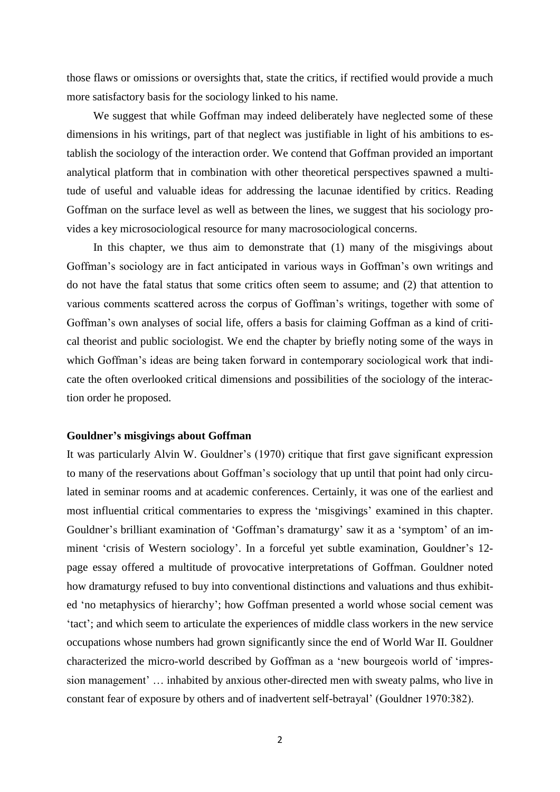those flaws or omissions or oversights that, state the critics, if rectified would provide a much more satisfactory basis for the sociology linked to his name.

We suggest that while Goffman may indeed deliberately have neglected some of these dimensions in his writings, part of that neglect was justifiable in light of his ambitions to establish the sociology of the interaction order. We contend that Goffman provided an important analytical platform that in combination with other theoretical perspectives spawned a multitude of useful and valuable ideas for addressing the lacunae identified by critics. Reading Goffman on the surface level as well as between the lines, we suggest that his sociology provides a key microsociological resource for many macrosociological concerns.

In this chapter, we thus aim to demonstrate that (1) many of the misgivings about Goffman's sociology are in fact anticipated in various ways in Goffman's own writings and do not have the fatal status that some critics often seem to assume; and (2) that attention to various comments scattered across the corpus of Goffman's writings, together with some of Goffman's own analyses of social life, offers a basis for claiming Goffman as a kind of critical theorist and public sociologist. We end the chapter by briefly noting some of the ways in which Goffman's ideas are being taken forward in contemporary sociological work that indicate the often overlooked critical dimensions and possibilities of the sociology of the interaction order he proposed.

#### **Gouldner's misgivings about Goffman**

It was particularly Alvin W. Gouldner's (1970) critique that first gave significant expression to many of the reservations about Goffman's sociology that up until that point had only circulated in seminar rooms and at academic conferences. Certainly, it was one of the earliest and most influential critical commentaries to express the 'misgivings' examined in this chapter. Gouldner's brilliant examination of 'Goffman's dramaturgy' saw it as a 'symptom' of an imminent 'crisis of Western sociology'. In a forceful yet subtle examination, Gouldner's 12 page essay offered a multitude of provocative interpretations of Goffman. Gouldner noted how dramaturgy refused to buy into conventional distinctions and valuations and thus exhibited 'no metaphysics of hierarchy'; how Goffman presented a world whose social cement was 'tact'; and which seem to articulate the experiences of middle class workers in the new service occupations whose numbers had grown significantly since the end of World War II. Gouldner characterized the micro-world described by Goffman as a 'new bourgeois world of 'impression management' … inhabited by anxious other-directed men with sweaty palms, who live in constant fear of exposure by others and of inadvertent self-betrayal' (Gouldner 1970:382).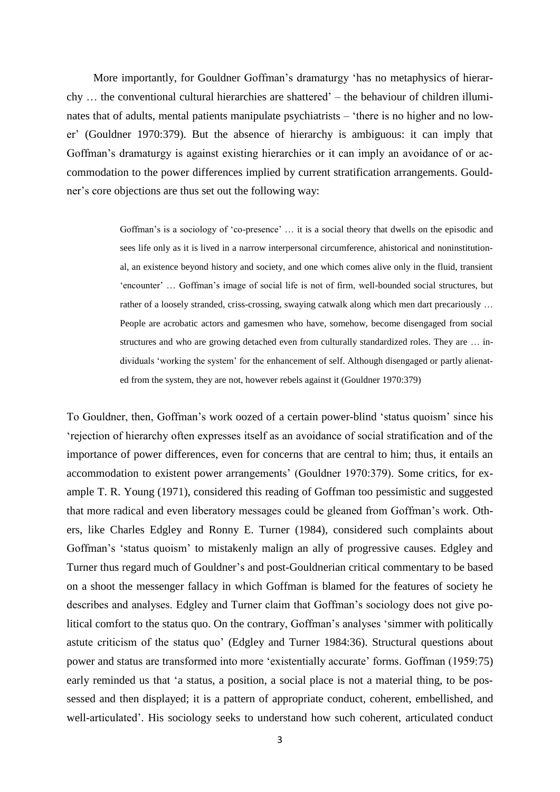More importantly, for Gouldner Goffman's dramaturgy 'has no metaphysics of hierarchy … the conventional cultural hierarchies are shattered' – the behaviour of children illuminates that of adults, mental patients manipulate psychiatrists – 'there is no higher and no lower' (Gouldner 1970:379). But the absence of hierarchy is ambiguous: it can imply that Goffman's dramaturgy is against existing hierarchies or it can imply an avoidance of or accommodation to the power differences implied by current stratification arrangements. Gouldner's core objections are thus set out the following way:

> Goffman's is a sociology of 'co-presence' … it is a social theory that dwells on the episodic and sees life only as it is lived in a narrow interpersonal circumference, ahistorical and noninstitutional, an existence beyond history and society, and one which comes alive only in the fluid, transient 'encounter' … Goffman's image of social life is not of firm, well-bounded social structures, but rather of a loosely stranded, criss-crossing, swaying catwalk along which men dart precariously … People are acrobatic actors and gamesmen who have, somehow, become disengaged from social structures and who are growing detached even from culturally standardized roles. They are … individuals 'working the system' for the enhancement of self. Although disengaged or partly alienated from the system, they are not, however rebels against it (Gouldner 1970:379)

To Gouldner, then, Goffman's work oozed of a certain power-blind 'status quoism' since his 'rejection of hierarchy often expresses itself as an avoidance of social stratification and of the importance of power differences, even for concerns that are central to him; thus, it entails an accommodation to existent power arrangements' (Gouldner 1970:379). Some critics, for example T. R. Young (1971), considered this reading of Goffman too pessimistic and suggested that more radical and even liberatory messages could be gleaned from Goffman's work. Others, like Charles Edgley and Ronny E. Turner (1984), considered such complaints about Goffman's 'status quoism' to mistakenly malign an ally of progressive causes. Edgley and Turner thus regard much of Gouldner's and post-Gouldnerian critical commentary to be based on a shoot the messenger fallacy in which Goffman is blamed for the features of society he describes and analyses. Edgley and Turner claim that Goffman's sociology does not give political comfort to the status quo. On the contrary, Goffman's analyses 'simmer with politically astute criticism of the status quo' (Edgley and Turner 1984:36). Structural questions about power and status are transformed into more 'existentially accurate' forms. Goffman (1959:75) early reminded us that 'a status, a position, a social place is not a material thing, to be possessed and then displayed; it is a pattern of appropriate conduct, coherent, embellished, and well-articulated'. His sociology seeks to understand how such coherent, articulated conduct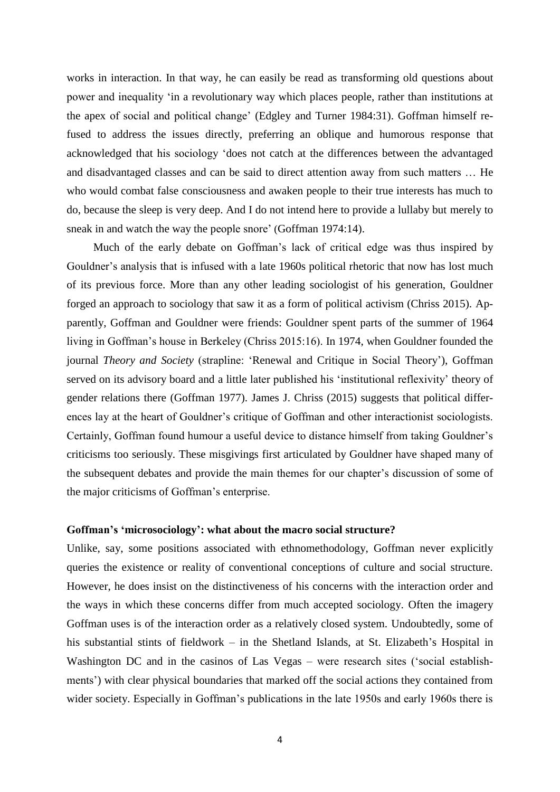works in interaction. In that way, he can easily be read as transforming old questions about power and inequality 'in a revolutionary way which places people, rather than institutions at the apex of social and political change' (Edgley and Turner 1984:31). Goffman himself refused to address the issues directly, preferring an oblique and humorous response that acknowledged that his sociology 'does not catch at the differences between the advantaged and disadvantaged classes and can be said to direct attention away from such matters … He who would combat false consciousness and awaken people to their true interests has much to do, because the sleep is very deep. And I do not intend here to provide a lullaby but merely to sneak in and watch the way the people snore' (Goffman 1974:14).

Much of the early debate on Goffman's lack of critical edge was thus inspired by Gouldner's analysis that is infused with a late 1960s political rhetoric that now has lost much of its previous force. More than any other leading sociologist of his generation, Gouldner forged an approach to sociology that saw it as a form of political activism (Chriss 2015). Apparently, Goffman and Gouldner were friends: Gouldner spent parts of the summer of 1964 living in Goffman's house in Berkeley (Chriss 2015:16). In 1974, when Gouldner founded the journal *Theory and Society* (strapline: 'Renewal and Critique in Social Theory'), Goffman served on its advisory board and a little later published his 'institutional reflexivity' theory of gender relations there (Goffman 1977). James J. Chriss (2015) suggests that political differences lay at the heart of Gouldner's critique of Goffman and other interactionist sociologists. Certainly, Goffman found humour a useful device to distance himself from taking Gouldner's criticisms too seriously. These misgivings first articulated by Gouldner have shaped many of the subsequent debates and provide the main themes for our chapter's discussion of some of the major criticisms of Goffman's enterprise.

#### **Goffman's 'microsociology': what about the macro social structure?**

Unlike, say, some positions associated with ethnomethodology, Goffman never explicitly queries the existence or reality of conventional conceptions of culture and social structure. However, he does insist on the distinctiveness of his concerns with the interaction order and the ways in which these concerns differ from much accepted sociology. Often the imagery Goffman uses is of the interaction order as a relatively closed system. Undoubtedly, some of his substantial stints of fieldwork – in the Shetland Islands, at St. Elizabeth's Hospital in Washington DC and in the casinos of Las Vegas – were research sites ('social establishments') with clear physical boundaries that marked off the social actions they contained from wider society. Especially in Goffman's publications in the late 1950s and early 1960s there is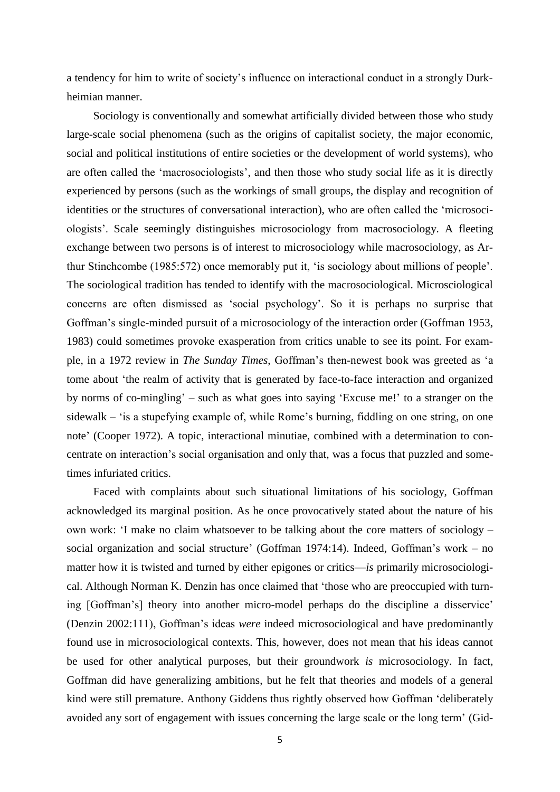a tendency for him to write of society's influence on interactional conduct in a strongly Durkheimian manner.

Sociology is conventionally and somewhat artificially divided between those who study large-scale social phenomena (such as the origins of capitalist society, the major economic, social and political institutions of entire societies or the development of world systems), who are often called the 'macrosociologists', and then those who study social life as it is directly experienced by persons (such as the workings of small groups, the display and recognition of identities or the structures of conversational interaction), who are often called the 'microsociologists'. Scale seemingly distinguishes microsociology from macrosociology. A fleeting exchange between two persons is of interest to microsociology while macrosociology, as Arthur Stinchcombe (1985:572) once memorably put it, 'is sociology about millions of people'. The sociological tradition has tended to identify with the macrosociological. Microsciological concerns are often dismissed as 'social psychology'. So it is perhaps no surprise that Goffman's single-minded pursuit of a microsociology of the interaction order (Goffman 1953, 1983) could sometimes provoke exasperation from critics unable to see its point. For example, in a 1972 review in *The Sunday Times*, Goffman's then-newest book was greeted as 'a tome about 'the realm of activity that is generated by face-to-face interaction and organized by norms of co-mingling' – such as what goes into saying 'Excuse me!' to a stranger on the sidewalk – 'is a stupefying example of, while Rome's burning, fiddling on one string, on one note' (Cooper 1972). A topic, interactional minutiae, combined with a determination to concentrate on interaction's social organisation and only that, was a focus that puzzled and sometimes infuriated critics.

Faced with complaints about such situational limitations of his sociology, Goffman acknowledged its marginal position. As he once provocatively stated about the nature of his own work: 'I make no claim whatsoever to be talking about the core matters of sociology – social organization and social structure' (Goffman 1974:14). Indeed, Goffman's work – no matter how it is twisted and turned by either epigones or critics—*is* primarily microsociological. Although Norman K. Denzin has once claimed that 'those who are preoccupied with turning [Goffman's] theory into another micro-model perhaps do the discipline a disservice' (Denzin 2002:111), Goffman's ideas *were* indeed microsociological and have predominantly found use in microsociological contexts. This, however, does not mean that his ideas cannot be used for other analytical purposes, but their groundwork *is* microsociology. In fact, Goffman did have generalizing ambitions, but he felt that theories and models of a general kind were still premature. Anthony Giddens thus rightly observed how Goffman 'deliberately avoided any sort of engagement with issues concerning the large scale or the long term' (Gid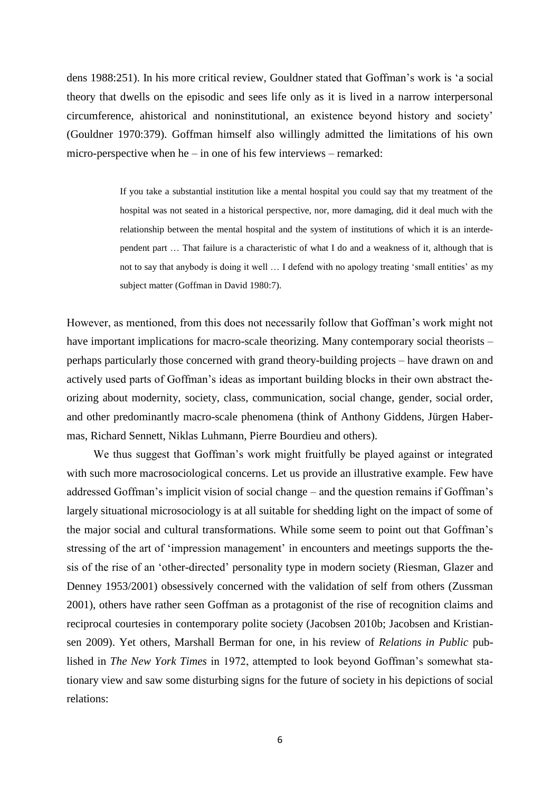dens 1988:251). In his more critical review, Gouldner stated that Goffman's work is 'a social theory that dwells on the episodic and sees life only as it is lived in a narrow interpersonal circumference, ahistorical and noninstitutional, an existence beyond history and society' (Gouldner 1970:379). Goffman himself also willingly admitted the limitations of his own micro-perspective when  $he$  – in one of his few interviews – remarked:

> If you take a substantial institution like a mental hospital you could say that my treatment of the hospital was not seated in a historical perspective, nor, more damaging, did it deal much with the relationship between the mental hospital and the system of institutions of which it is an interdependent part … That failure is a characteristic of what I do and a weakness of it, although that is not to say that anybody is doing it well … I defend with no apology treating 'small entities' as my subject matter (Goffman in David 1980:7).

However, as mentioned, from this does not necessarily follow that Goffman's work might not have important implications for macro-scale theorizing. Many contemporary social theorists – perhaps particularly those concerned with grand theory-building projects – have drawn on and actively used parts of Goffman's ideas as important building blocks in their own abstract theorizing about modernity, society, class, communication, social change, gender, social order, and other predominantly macro-scale phenomena (think of Anthony Giddens, Jürgen Habermas, Richard Sennett, Niklas Luhmann, Pierre Bourdieu and others).

We thus suggest that Goffman's work might fruitfully be played against or integrated with such more macrosociological concerns. Let us provide an illustrative example. Few have addressed Goffman's implicit vision of social change – and the question remains if Goffman's largely situational microsociology is at all suitable for shedding light on the impact of some of the major social and cultural transformations. While some seem to point out that Goffman's stressing of the art of 'impression management' in encounters and meetings supports the thesis of the rise of an 'other-directed' personality type in modern society (Riesman, Glazer and Denney 1953/2001) obsessively concerned with the validation of self from others (Zussman 2001), others have rather seen Goffman as a protagonist of the rise of recognition claims and reciprocal courtesies in contemporary polite society (Jacobsen 2010b; Jacobsen and Kristiansen 2009). Yet others, Marshall Berman for one, in his review of *Relations in Public* published in *The New York Times* in 1972, attempted to look beyond Goffman's somewhat stationary view and saw some disturbing signs for the future of society in his depictions of social relations: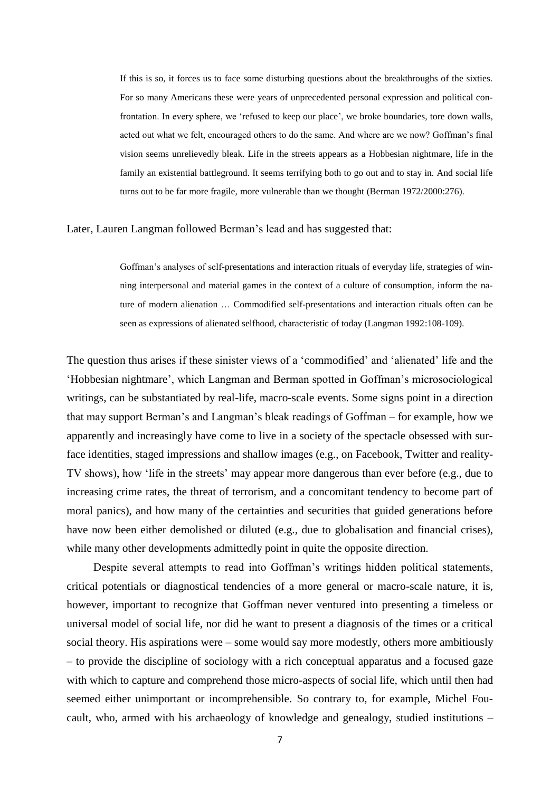If this is so, it forces us to face some disturbing questions about the breakthroughs of the sixties. For so many Americans these were years of unprecedented personal expression and political confrontation. In every sphere, we 'refused to keep our place', we broke boundaries, tore down walls, acted out what we felt, encouraged others to do the same. And where are we now? Goffman's final vision seems unrelievedly bleak. Life in the streets appears as a Hobbesian nightmare, life in the family an existential battleground. It seems terrifying both to go out and to stay in. And social life turns out to be far more fragile, more vulnerable than we thought (Berman 1972/2000:276).

#### Later, Lauren Langman followed Berman's lead and has suggested that:

Goffman's analyses of self-presentations and interaction rituals of everyday life, strategies of winning interpersonal and material games in the context of a culture of consumption, inform the nature of modern alienation … Commodified self-presentations and interaction rituals often can be seen as expressions of alienated selfhood, characteristic of today (Langman 1992:108-109).

The question thus arises if these sinister views of a 'commodified' and 'alienated' life and the 'Hobbesian nightmare', which Langman and Berman spotted in Goffman's microsociological writings, can be substantiated by real-life, macro-scale events. Some signs point in a direction that may support Berman's and Langman's bleak readings of Goffman – for example, how we apparently and increasingly have come to live in a society of the spectacle obsessed with surface identities, staged impressions and shallow images (e.g., on Facebook, Twitter and reality-TV shows), how 'life in the streets' may appear more dangerous than ever before (e.g., due to increasing crime rates, the threat of terrorism, and a concomitant tendency to become part of moral panics), and how many of the certainties and securities that guided generations before have now been either demolished or diluted (e.g., due to globalisation and financial crises), while many other developments admittedly point in quite the opposite direction.

Despite several attempts to read into Goffman's writings hidden political statements, critical potentials or diagnostical tendencies of a more general or macro-scale nature, it is, however, important to recognize that Goffman never ventured into presenting a timeless or universal model of social life, nor did he want to present a diagnosis of the times or a critical social theory. His aspirations were – some would say more modestly, others more ambitiously – to provide the discipline of sociology with a rich conceptual apparatus and a focused gaze with which to capture and comprehend those micro-aspects of social life, which until then had seemed either unimportant or incomprehensible. So contrary to, for example, Michel Foucault, who, armed with his archaeology of knowledge and genealogy, studied institutions –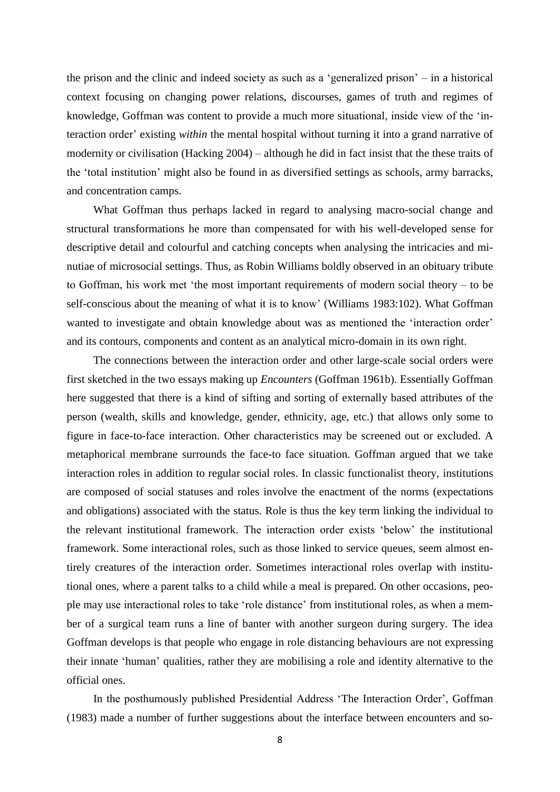the prison and the clinic and indeed society as such as a 'generalized prison' – in a historical context focusing on changing power relations, discourses, games of truth and regimes of knowledge, Goffman was content to provide a much more situational, inside view of the 'interaction order' existing *within* the mental hospital without turning it into a grand narrative of modernity or civilisation (Hacking 2004) – although he did in fact insist that the these traits of the 'total institution' might also be found in as diversified settings as schools, army barracks, and concentration camps.

What Goffman thus perhaps lacked in regard to analysing macro-social change and structural transformations he more than compensated for with his well-developed sense for descriptive detail and colourful and catching concepts when analysing the intricacies and minutiae of microsocial settings. Thus, as Robin Williams boldly observed in an obituary tribute to Goffman, his work met 'the most important requirements of modern social theory – to be self-conscious about the meaning of what it is to know' (Williams 1983:102). What Goffman wanted to investigate and obtain knowledge about was as mentioned the 'interaction order' and its contours, components and content as an analytical micro-domain in its own right.

The connections between the interaction order and other large-scale social orders were first sketched in the two essays making up *Encounters* (Goffman 1961b). Essentially Goffman here suggested that there is a kind of sifting and sorting of externally based attributes of the person (wealth, skills and knowledge, gender, ethnicity, age, etc.) that allows only some to figure in face-to-face interaction. Other characteristics may be screened out or excluded. A metaphorical membrane surrounds the face-to face situation. Goffman argued that we take interaction roles in addition to regular social roles. In classic functionalist theory, institutions are composed of social statuses and roles involve the enactment of the norms (expectations and obligations) associated with the status. Role is thus the key term linking the individual to the relevant institutional framework. The interaction order exists 'below' the institutional framework. Some interactional roles, such as those linked to service queues, seem almost entirely creatures of the interaction order. Sometimes interactional roles overlap with institutional ones, where a parent talks to a child while a meal is prepared. On other occasions, people may use interactional roles to take 'role distance' from institutional roles, as when a member of a surgical team runs a line of banter with another surgeon during surgery. The idea Goffman develops is that people who engage in role distancing behaviours are not expressing their innate 'human' qualities, rather they are mobilising a role and identity alternative to the official ones.

In the posthumously published Presidential Address 'The Interaction Order', Goffman (1983) made a number of further suggestions about the interface between encounters and so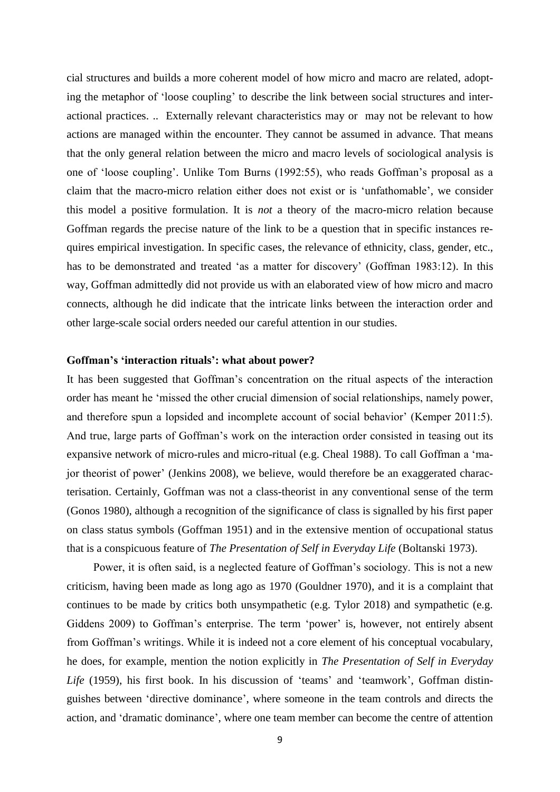cial structures and builds a more coherent model of how micro and macro are related, adopting the metaphor of 'loose coupling' to describe the link between social structures and interactional practices. .. Externally relevant characteristics may or may not be relevant to how actions are managed within the encounter. They cannot be assumed in advance. That means that the only general relation between the micro and macro levels of sociological analysis is one of 'loose coupling'. Unlike Tom Burns (1992:55), who reads Goffman's proposal as a claim that the macro-micro relation either does not exist or is 'unfathomable', we consider this model a positive formulation. It is *not* a theory of the macro-micro relation because Goffman regards the precise nature of the link to be a question that in specific instances requires empirical investigation. In specific cases, the relevance of ethnicity, class, gender, etc., has to be demonstrated and treated 'as a matter for discovery' (Goffman 1983:12). In this way, Goffman admittedly did not provide us with an elaborated view of how micro and macro connects, although he did indicate that the intricate links between the interaction order and other large-scale social orders needed our careful attention in our studies.

#### **Goffman's 'interaction rituals': what about power?**

It has been suggested that Goffman's concentration on the ritual aspects of the interaction order has meant he 'missed the other crucial dimension of social relationships, namely power, and therefore spun a lopsided and incomplete account of social behavior' (Kemper 2011:5). And true, large parts of Goffman's work on the interaction order consisted in teasing out its expansive network of micro-rules and micro-ritual (e.g. Cheal 1988). To call Goffman a 'major theorist of power' (Jenkins 2008), we believe, would therefore be an exaggerated characterisation. Certainly, Goffman was not a class-theorist in any conventional sense of the term (Gonos 1980), although a recognition of the significance of class is signalled by his first paper on class status symbols (Goffman 1951) and in the extensive mention of occupational status that is a conspicuous feature of *The Presentation of Self in Everyday Life* (Boltanski 1973).

Power, it is often said, is a neglected feature of Goffman's sociology. This is not a new criticism, having been made as long ago as 1970 (Gouldner 1970), and it is a complaint that continues to be made by critics both unsympathetic (e.g. Tylor 2018) and sympathetic (e.g. Giddens 2009) to Goffman's enterprise. The term 'power' is, however, not entirely absent from Goffman's writings. While it is indeed not a core element of his conceptual vocabulary, he does, for example, mention the notion explicitly in *The Presentation of Self in Everyday*  Life (1959), his first book. In his discussion of 'teams' and 'teamwork', Goffman distinguishes between 'directive dominance', where someone in the team controls and directs the action, and 'dramatic dominance', where one team member can become the centre of attention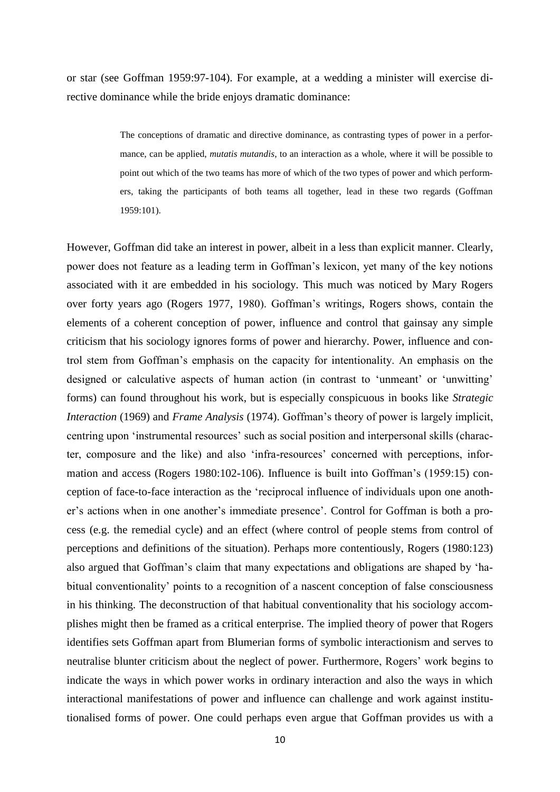or star (see Goffman 1959:97-104). For example, at a wedding a minister will exercise directive dominance while the bride enjoys dramatic dominance:

> The conceptions of dramatic and directive dominance, as contrasting types of power in a performance, can be applied, *mutatis mutandis*, to an interaction as a whole, where it will be possible to point out which of the two teams has more of which of the two types of power and which performers, taking the participants of both teams all together, lead in these two regards (Goffman 1959:101).

However, Goffman did take an interest in power, albeit in a less than explicit manner. Clearly, power does not feature as a leading term in Goffman's lexicon, yet many of the key notions associated with it are embedded in his sociology. This much was noticed by Mary Rogers over forty years ago (Rogers 1977, 1980). Goffman's writings, Rogers shows, contain the elements of a coherent conception of power, influence and control that gainsay any simple criticism that his sociology ignores forms of power and hierarchy. Power, influence and control stem from Goffman's emphasis on the capacity for intentionality. An emphasis on the designed or calculative aspects of human action (in contrast to 'unmeant' or 'unwitting' forms) can found throughout his work, but is especially conspicuous in books like *Strategic Interaction* (1969) and *Frame Analysis* (1974). Goffman's theory of power is largely implicit, centring upon 'instrumental resources' such as social position and interpersonal skills (character, composure and the like) and also 'infra-resources' concerned with perceptions, information and access (Rogers 1980:102-106). Influence is built into Goffman's (1959:15) conception of face-to-face interaction as the 'reciprocal influence of individuals upon one another's actions when in one another's immediate presence'. Control for Goffman is both a process (e.g. the remedial cycle) and an effect (where control of people stems from control of perceptions and definitions of the situation). Perhaps more contentiously, Rogers (1980:123) also argued that Goffman's claim that many expectations and obligations are shaped by 'habitual conventionality' points to a recognition of a nascent conception of false consciousness in his thinking. The deconstruction of that habitual conventionality that his sociology accomplishes might then be framed as a critical enterprise. The implied theory of power that Rogers identifies sets Goffman apart from Blumerian forms of symbolic interactionism and serves to neutralise blunter criticism about the neglect of power. Furthermore, Rogers' work begins to indicate the ways in which power works in ordinary interaction and also the ways in which interactional manifestations of power and influence can challenge and work against institutionalised forms of power. One could perhaps even argue that Goffman provides us with a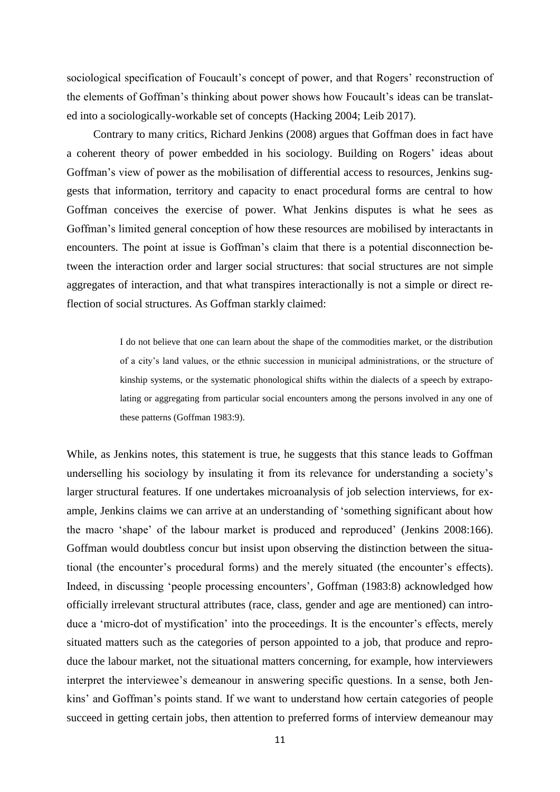sociological specification of Foucault's concept of power, and that Rogers' reconstruction of the elements of Goffman's thinking about power shows how Foucault's ideas can be translated into a sociologically-workable set of concepts (Hacking 2004; Leib 2017).

Contrary to many critics, Richard Jenkins (2008) argues that Goffman does in fact have a coherent theory of power embedded in his sociology. Building on Rogers' ideas about Goffman's view of power as the mobilisation of differential access to resources, Jenkins suggests that information, territory and capacity to enact procedural forms are central to how Goffman conceives the exercise of power. What Jenkins disputes is what he sees as Goffman's limited general conception of how these resources are mobilised by interactants in encounters. The point at issue is Goffman's claim that there is a potential disconnection between the interaction order and larger social structures: that social structures are not simple aggregates of interaction, and that what transpires interactionally is not a simple or direct reflection of social structures. As Goffman starkly claimed:

> I do not believe that one can learn about the shape of the commodities market, or the distribution of a city's land values, or the ethnic succession in municipal administrations, or the structure of kinship systems, or the systematic phonological shifts within the dialects of a speech by extrapolating or aggregating from particular social encounters among the persons involved in any one of these patterns (Goffman 1983:9).

While, as Jenkins notes, this statement is true, he suggests that this stance leads to Goffman underselling his sociology by insulating it from its relevance for understanding a society's larger structural features. If one undertakes microanalysis of job selection interviews, for example, Jenkins claims we can arrive at an understanding of 'something significant about how the macro 'shape' of the labour market is produced and reproduced' (Jenkins 2008:166). Goffman would doubtless concur but insist upon observing the distinction between the situational (the encounter's procedural forms) and the merely situated (the encounter's effects). Indeed, in discussing 'people processing encounters', Goffman (1983:8) acknowledged how officially irrelevant structural attributes (race, class, gender and age are mentioned) can introduce a 'micro-dot of mystification' into the proceedings. It is the encounter's effects, merely situated matters such as the categories of person appointed to a job, that produce and reproduce the labour market, not the situational matters concerning, for example, how interviewers interpret the interviewee's demeanour in answering specific questions. In a sense, both Jenkins' and Goffman's points stand. If we want to understand how certain categories of people succeed in getting certain jobs, then attention to preferred forms of interview demeanour may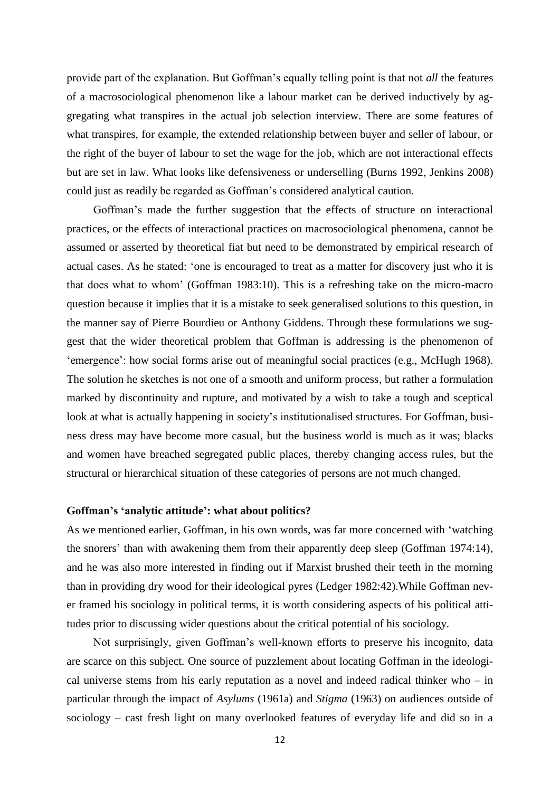provide part of the explanation. But Goffman's equally telling point is that not *all* the features of a macrosociological phenomenon like a labour market can be derived inductively by aggregating what transpires in the actual job selection interview. There are some features of what transpires, for example, the extended relationship between buyer and seller of labour, or the right of the buyer of labour to set the wage for the job, which are not interactional effects but are set in law. What looks like defensiveness or underselling (Burns 1992, Jenkins 2008) could just as readily be regarded as Goffman's considered analytical caution.

Goffman's made the further suggestion that the effects of structure on interactional practices, or the effects of interactional practices on macrosociological phenomena, cannot be assumed or asserted by theoretical fiat but need to be demonstrated by empirical research of actual cases. As he stated: 'one is encouraged to treat as a matter for discovery just who it is that does what to whom' (Goffman 1983:10). This is a refreshing take on the micro-macro question because it implies that it is a mistake to seek generalised solutions to this question, in the manner say of Pierre Bourdieu or Anthony Giddens. Through these formulations we suggest that the wider theoretical problem that Goffman is addressing is the phenomenon of 'emergence': how social forms arise out of meaningful social practices (e.g., McHugh 1968). The solution he sketches is not one of a smooth and uniform process, but rather a formulation marked by discontinuity and rupture, and motivated by a wish to take a tough and sceptical look at what is actually happening in society's institutionalised structures. For Goffman, business dress may have become more casual, but the business world is much as it was; blacks and women have breached segregated public places, thereby changing access rules, but the structural or hierarchical situation of these categories of persons are not much changed.

#### **Goffman's 'analytic attitude': what about politics?**

As we mentioned earlier, Goffman, in his own words, was far more concerned with 'watching the snorers' than with awakening them from their apparently deep sleep (Goffman 1974:14), and he was also more interested in finding out if Marxist brushed their teeth in the morning than in providing dry wood for their ideological pyres (Ledger 1982:42).While Goffman never framed his sociology in political terms, it is worth considering aspects of his political attitudes prior to discussing wider questions about the critical potential of his sociology.

Not surprisingly, given Goffman's well-known efforts to preserve his incognito, data are scarce on this subject. One source of puzzlement about locating Goffman in the ideological universe stems from his early reputation as a novel and indeed radical thinker who – in particular through the impact of *Asylums* (1961a) and *Stigma* (1963) on audiences outside of sociology – cast fresh light on many overlooked features of everyday life and did so in a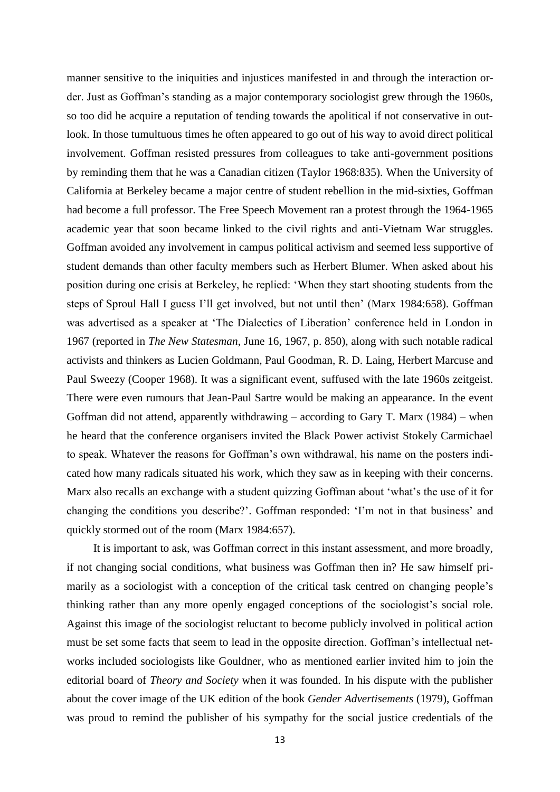manner sensitive to the iniquities and injustices manifested in and through the interaction order. Just as Goffman's standing as a major contemporary sociologist grew through the 1960s, so too did he acquire a reputation of tending towards the apolitical if not conservative in outlook. In those tumultuous times he often appeared to go out of his way to avoid direct political involvement. Goffman resisted pressures from colleagues to take anti-government positions by reminding them that he was a Canadian citizen (Taylor 1968:835). When the University of California at Berkeley became a major centre of student rebellion in the mid-sixties, Goffman had become a full professor. The Free Speech Movement ran a protest through the 1964-1965 academic year that soon became linked to the civil rights and anti-Vietnam War struggles. Goffman avoided any involvement in campus political activism and seemed less supportive of student demands than other faculty members such as Herbert Blumer. When asked about his position during one crisis at Berkeley, he replied: 'When they start shooting students from the steps of Sproul Hall I guess I'll get involved, but not until then' (Marx 1984:658). Goffman was advertised as a speaker at 'The Dialectics of Liberation' conference held in London in 1967 (reported in *The New Statesman*, June 16, 1967, p. 850), along with such notable radical activists and thinkers as Lucien Goldmann, Paul Goodman, R. D. Laing, Herbert Marcuse and Paul Sweezy (Cooper 1968). It was a significant event, suffused with the late 1960s zeitgeist. There were even rumours that Jean-Paul Sartre would be making an appearance. In the event Goffman did not attend, apparently withdrawing  $-$  according to Gary T. Marx (1984) – when he heard that the conference organisers invited the Black Power activist Stokely Carmichael to speak. Whatever the reasons for Goffman's own withdrawal, his name on the posters indicated how many radicals situated his work, which they saw as in keeping with their concerns. Marx also recalls an exchange with a student quizzing Goffman about 'what's the use of it for changing the conditions you describe?'. Goffman responded: 'I'm not in that business' and quickly stormed out of the room (Marx 1984:657).

It is important to ask, was Goffman correct in this instant assessment, and more broadly, if not changing social conditions, what business was Goffman then in? He saw himself primarily as a sociologist with a conception of the critical task centred on changing people's thinking rather than any more openly engaged conceptions of the sociologist's social role. Against this image of the sociologist reluctant to become publicly involved in political action must be set some facts that seem to lead in the opposite direction. Goffman's intellectual networks included sociologists like Gouldner, who as mentioned earlier invited him to join the editorial board of *Theory and Society* when it was founded. In his dispute with the publisher about the cover image of the UK edition of the book *Gender Advertisements* (1979), Goffman was proud to remind the publisher of his sympathy for the social justice credentials of the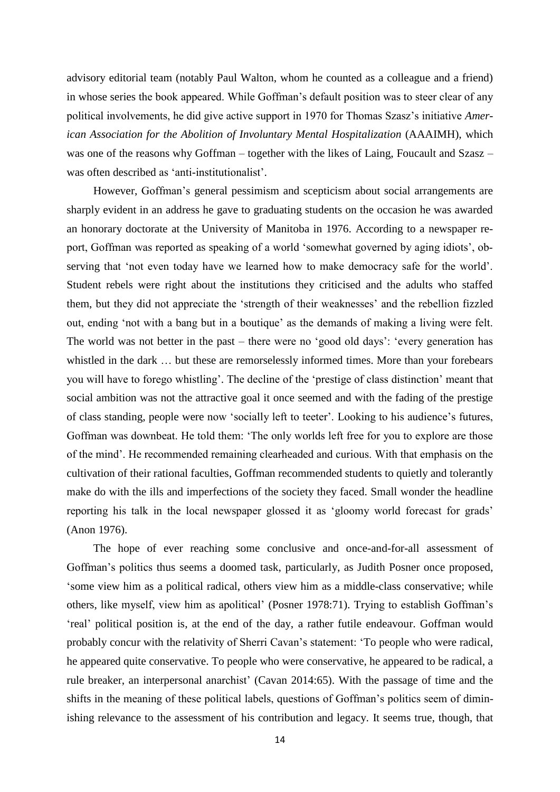advisory editorial team (notably Paul Walton, whom he counted as a colleague and a friend) in whose series the book appeared. While Goffman's default position was to steer clear of any political involvements, he did give active support in 1970 for Thomas Szasz's initiative *American Association for the Abolition of Involuntary Mental Hospitalization* (AAAIMH), which was one of the reasons why Goffman – together with the likes of Laing, Foucault and Szasz – was often described as 'anti-institutionalist'.

However, Goffman's general pessimism and scepticism about social arrangements are sharply evident in an address he gave to graduating students on the occasion he was awarded an honorary doctorate at the University of Manitoba in 1976. According to a newspaper report, Goffman was reported as speaking of a world 'somewhat governed by aging idiots', observing that 'not even today have we learned how to make democracy safe for the world'. Student rebels were right about the institutions they criticised and the adults who staffed them, but they did not appreciate the 'strength of their weaknesses' and the rebellion fizzled out, ending 'not with a bang but in a boutique' as the demands of making a living were felt. The world was not better in the past – there were no 'good old days': 'every generation has whistled in the dark … but these are remorselessly informed times. More than your forebears you will have to forego whistling'. The decline of the 'prestige of class distinction' meant that social ambition was not the attractive goal it once seemed and with the fading of the prestige of class standing, people were now 'socially left to teeter'. Looking to his audience's futures, Goffman was downbeat. He told them: 'The only worlds left free for you to explore are those of the mind'. He recommended remaining clearheaded and curious. With that emphasis on the cultivation of their rational faculties, Goffman recommended students to quietly and tolerantly make do with the ills and imperfections of the society they faced. Small wonder the headline reporting his talk in the local newspaper glossed it as 'gloomy world forecast for grads' (Anon 1976).

The hope of ever reaching some conclusive and once-and-for-all assessment of Goffman's politics thus seems a doomed task, particularly, as Judith Posner once proposed, 'some view him as a political radical, others view him as a middle-class conservative; while others, like myself, view him as apolitical' (Posner 1978:71). Trying to establish Goffman's 'real' political position is, at the end of the day, a rather futile endeavour. Goffman would probably concur with the relativity of Sherri Cavan's statement: 'To people who were radical, he appeared quite conservative. To people who were conservative, he appeared to be radical, a rule breaker, an interpersonal anarchist' (Cavan 2014:65). With the passage of time and the shifts in the meaning of these political labels, questions of Goffman's politics seem of diminishing relevance to the assessment of his contribution and legacy. It seems true, though, that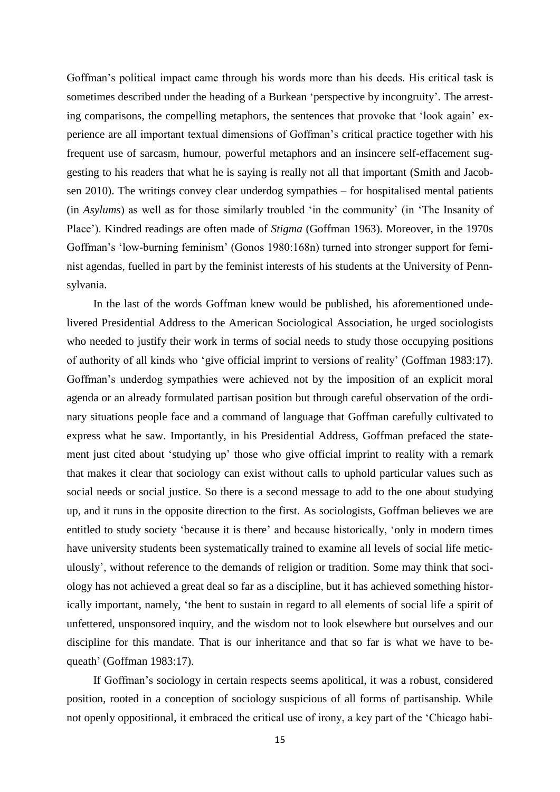Goffman's political impact came through his words more than his deeds. His critical task is sometimes described under the heading of a Burkean 'perspective by incongruity'. The arresting comparisons, the compelling metaphors, the sentences that provoke that 'look again' experience are all important textual dimensions of Goffman's critical practice together with his frequent use of sarcasm, humour, powerful metaphors and an insincere self-effacement suggesting to his readers that what he is saying is really not all that important (Smith and Jacobsen 2010). The writings convey clear underdog sympathies – for hospitalised mental patients (in *Asylums*) as well as for those similarly troubled 'in the community' (in 'The Insanity of Place'). Kindred readings are often made of *Stigma* (Goffman 1963). Moreover, in the 1970s Goffman's 'low-burning feminism' (Gonos 1980:168n) turned into stronger support for feminist agendas, fuelled in part by the feminist interests of his students at the University of Pennsylvania.

In the last of the words Goffman knew would be published, his aforementioned undelivered Presidential Address to the American Sociological Association, he urged sociologists who needed to justify their work in terms of social needs to study those occupying positions of authority of all kinds who 'give official imprint to versions of reality' (Goffman 1983:17). Goffman's underdog sympathies were achieved not by the imposition of an explicit moral agenda or an already formulated partisan position but through careful observation of the ordinary situations people face and a command of language that Goffman carefully cultivated to express what he saw. Importantly, in his Presidential Address, Goffman prefaced the statement just cited about 'studying up' those who give official imprint to reality with a remark that makes it clear that sociology can exist without calls to uphold particular values such as social needs or social justice. So there is a second message to add to the one about studying up, and it runs in the opposite direction to the first. As sociologists, Goffman believes we are entitled to study society 'because it is there' and because historically, 'only in modern times have university students been systematically trained to examine all levels of social life meticulously', without reference to the demands of religion or tradition. Some may think that sociology has not achieved a great deal so far as a discipline, but it has achieved something historically important, namely, 'the bent to sustain in regard to all elements of social life a spirit of unfettered, unsponsored inquiry, and the wisdom not to look elsewhere but ourselves and our discipline for this mandate. That is our inheritance and that so far is what we have to bequeath' (Goffman 1983:17).

If Goffman's sociology in certain respects seems apolitical, it was a robust, considered position, rooted in a conception of sociology suspicious of all forms of partisanship. While not openly oppositional, it embraced the critical use of irony, a key part of the 'Chicago habi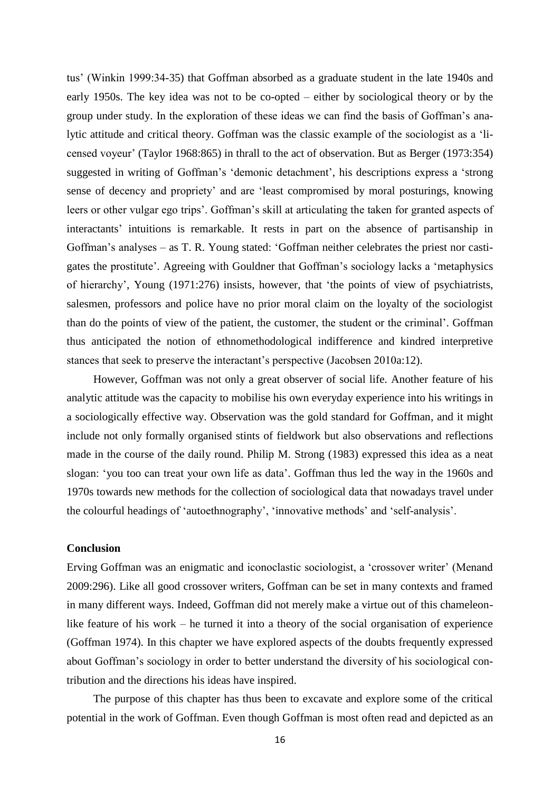tus' (Winkin 1999:34-35) that Goffman absorbed as a graduate student in the late 1940s and early 1950s. The key idea was not to be co-opted – either by sociological theory or by the group under study. In the exploration of these ideas we can find the basis of Goffman's analytic attitude and critical theory. Goffman was the classic example of the sociologist as a 'licensed voyeur' (Taylor 1968:865) in thrall to the act of observation. But as Berger (1973:354) suggested in writing of Goffman's 'demonic detachment', his descriptions express a 'strong sense of decency and propriety' and are 'least compromised by moral posturings, knowing leers or other vulgar ego trips'. Goffman's skill at articulating the taken for granted aspects of interactants' intuitions is remarkable. It rests in part on the absence of partisanship in Goffman's analyses – as T. R. Young stated: 'Goffman neither celebrates the priest nor castigates the prostitute'. Agreeing with Gouldner that Goffman's sociology lacks a 'metaphysics of hierarchy', Young (1971:276) insists, however, that 'the points of view of psychiatrists, salesmen, professors and police have no prior moral claim on the loyalty of the sociologist than do the points of view of the patient, the customer, the student or the criminal'. Goffman thus anticipated the notion of ethnomethodological indifference and kindred interpretive stances that seek to preserve the interactant's perspective (Jacobsen 2010a:12).

However, Goffman was not only a great observer of social life. Another feature of his analytic attitude was the capacity to mobilise his own everyday experience into his writings in a sociologically effective way. Observation was the gold standard for Goffman, and it might include not only formally organised stints of fieldwork but also observations and reflections made in the course of the daily round. Philip M. Strong (1983) expressed this idea as a neat slogan: 'you too can treat your own life as data'. Goffman thus led the way in the 1960s and 1970s towards new methods for the collection of sociological data that nowadays travel under the colourful headings of 'autoethnography', 'innovative methods' and 'self-analysis'.

#### **Conclusion**

Erving Goffman was an enigmatic and iconoclastic sociologist, a 'crossover writer' (Menand 2009:296). Like all good crossover writers, Goffman can be set in many contexts and framed in many different ways. Indeed, Goffman did not merely make a virtue out of this chameleonlike feature of his work – he turned it into a theory of the social organisation of experience (Goffman 1974). In this chapter we have explored aspects of the doubts frequently expressed about Goffman's sociology in order to better understand the diversity of his sociological contribution and the directions his ideas have inspired.

The purpose of this chapter has thus been to excavate and explore some of the critical potential in the work of Goffman. Even though Goffman is most often read and depicted as an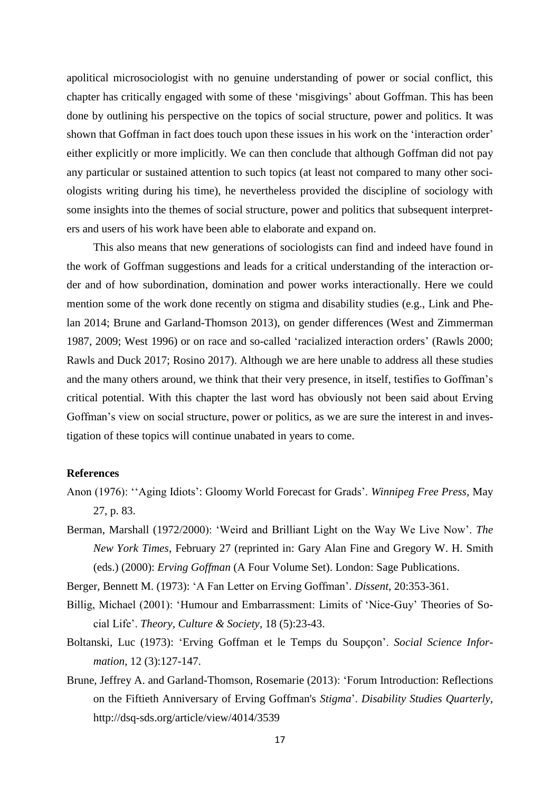apolitical microsociologist with no genuine understanding of power or social conflict, this chapter has critically engaged with some of these 'misgivings' about Goffman. This has been done by outlining his perspective on the topics of social structure, power and politics. It was shown that Goffman in fact does touch upon these issues in his work on the 'interaction order' either explicitly or more implicitly. We can then conclude that although Goffman did not pay any particular or sustained attention to such topics (at least not compared to many other sociologists writing during his time), he nevertheless provided the discipline of sociology with some insights into the themes of social structure, power and politics that subsequent interpreters and users of his work have been able to elaborate and expand on.

This also means that new generations of sociologists can find and indeed have found in the work of Goffman suggestions and leads for a critical understanding of the interaction order and of how subordination, domination and power works interactionally. Here we could mention some of the work done recently on stigma and disability studies (e.g., Link and Phelan 2014; Brune and Garland-Thomson 2013), on gender differences (West and Zimmerman 1987, 2009; West 1996) or on race and so-called 'racialized interaction orders' (Rawls 2000; Rawls and Duck 2017; Rosino 2017). Although we are here unable to address all these studies and the many others around, we think that their very presence, in itself, testifies to Goffman's critical potential. With this chapter the last word has obviously not been said about Erving Goffman's view on social structure, power or politics, as we are sure the interest in and investigation of these topics will continue unabated in years to come.

#### **References**

- Anon (1976): ''Aging Idiots': Gloomy World Forecast for Grads'. *Winnipeg Free Press,* May 27, p. 83.
- Berman, Marshall (1972/2000): 'Weird and Brilliant Light on the Way We Live Now'. *The New York Times*, February 27 (reprinted in: Gary Alan Fine and Gregory W. H. Smith (eds.) (2000): *Erving Goffman* (A Four Volume Set). London: Sage Publications.

Berger, Bennett M. (1973): 'A Fan Letter on Erving Goffman'. *Dissent*, 20:353-361.

- Billig, Michael (2001): 'Humour and Embarrassment: Limits of 'Nice-Guy' Theories of Social Life'. *Theory, Culture & Society*, 18 (5):23-43.
- Boltanski, Luc (1973): 'Erving Goffman et le Temps du Soupçon'. *Social Science Information*, 12 (3):127-147.
- Brune, Jeffrey A. and Garland-Thomson, Rosemarie (2013): 'Forum Introduction: Reflections on the Fiftieth Anniversary of Erving Goffman's *Stigma*'. *Disability Studies Quarterly*, http://dsq-sds.org/article/view/4014/3539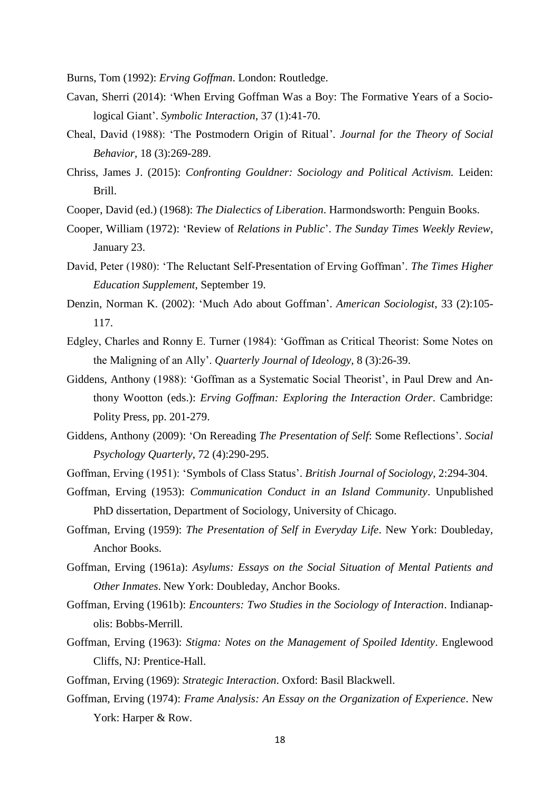Burns, Tom (1992): *Erving Goffman*. London: Routledge.

- Cavan, Sherri (2014): 'When Erving Goffman Was a Boy: The Formative Years of a Sociological Giant'. *Symbolic Interaction*, 37 (1):41-70.
- Cheal, David (1988): 'The Postmodern Origin of Ritual'*. Journal for the Theory of Social Behavior*, 18 (3):269-289.
- Chriss, James J. (2015): *Confronting Gouldner: Sociology and Political Activism.* Leiden: Brill.
- Cooper, David (ed.) (1968): *The Dialectics of Liberation*. Harmondsworth: Penguin Books.
- Cooper, William (1972): 'Review of *Relations in Public*'. *The Sunday Times Weekly Review*, January 23.
- David, Peter (1980): 'The Reluctant Self-Presentation of Erving Goffman'. *The Times Higher Education Supplement*, September 19.
- Denzin, Norman K. (2002): 'Much Ado about Goffman'. *American Sociologist*, 33 (2):105- 117.
- Edgley, Charles and Ronny E. Turner (1984): 'Goffman as Critical Theorist: Some Notes on the Maligning of an Ally'. *Quarterly Journal of Ideology*, 8 (3):26-39.
- Giddens, Anthony (1988): 'Goffman as a Systematic Social Theorist', in Paul Drew and Anthony Wootton (eds.): *Erving Goffman: Exploring the Interaction Order*. Cambridge: Polity Press, pp. 201-279.
- Giddens, Anthony (2009): 'On Rereading *The Presentation of Self*: Some Reflections'. *Social Psychology Quarterly*, 72 (4):290-295.
- Goffman, Erving (1951): 'Symbols of Class Status'. *British Journal of Sociology*, 2:294-304.
- Goffman, Erving (1953): *Communication Conduct in an Island Community*. Unpublished PhD dissertation, Department of Sociology, University of Chicago.
- Goffman, Erving (1959): *The Presentation of Self in Everyday Life*. New York: Doubleday, Anchor Books.
- Goffman, Erving (1961a): *Asylums: Essays on the Social Situation of Mental Patients and Other Inmates*. New York: Doubleday, Anchor Books.
- Goffman, Erving (1961b): *Encounters: Two Studies in the Sociology of Interaction*. Indianapolis: Bobbs-Merrill.
- Goffman, Erving (1963): *Stigma: Notes on the Management of Spoiled Identity*. Englewood Cliffs, NJ: Prentice-Hall.
- Goffman, Erving (1969): *Strategic Interaction*. Oxford: Basil Blackwell.
- Goffman, Erving (1974): *Frame Analysis: An Essay on the Organization of Experience*. New York: Harper & Row.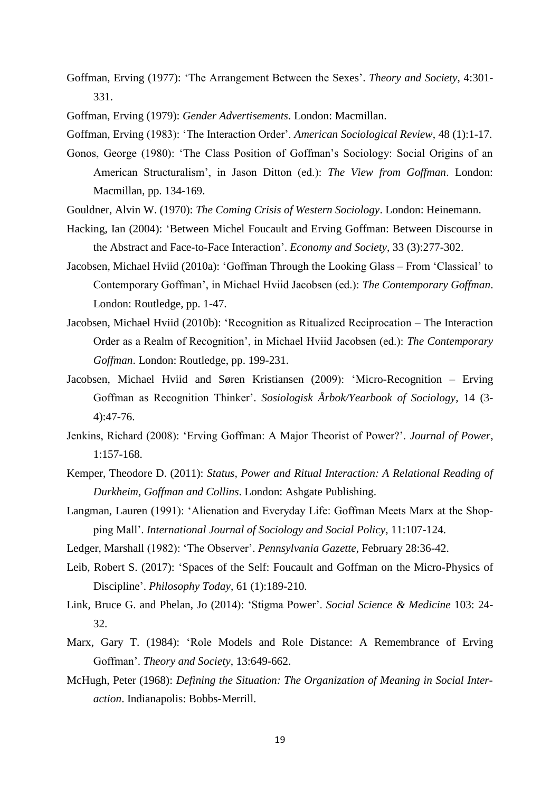- Goffman, Erving (1977): 'The Arrangement Between the Sexes'. *Theory and Society*, 4:301- 331.
- Goffman, Erving (1979): *Gender Advertisements*. London: Macmillan.
- Goffman, Erving (1983): 'The Interaction Order'. *American Sociological Review*, 48 (1):1-17.
- Gonos, George (1980): 'The Class Position of Goffman's Sociology: Social Origins of an American Structuralism', in Jason Ditton (ed.): *The View from Goffman*. London: Macmillan, pp. 134-169.
- Gouldner, Alvin W. (1970): *The Coming Crisis of Western Sociology*. London: Heinemann.
- Hacking, Ian (2004): 'Between Michel Foucault and Erving Goffman: Between Discourse in the Abstract and Face-to-Face Interaction'. *Economy and Society*, 33 (3):277-302.
- Jacobsen, Michael Hviid (2010a): 'Goffman Through the Looking Glass From 'Classical' to Contemporary Goffman', in Michael Hviid Jacobsen (ed.): *The Contemporary Goffman*. London: Routledge, pp. 1-47.
- Jacobsen, Michael Hviid (2010b): 'Recognition as Ritualized Reciprocation The Interaction Order as a Realm of Recognition', in Michael Hviid Jacobsen (ed.): *The Contemporary Goffman*. London: Routledge, pp. 199-231.
- Jacobsen, Michael Hviid and Søren Kristiansen (2009): 'Micro-Recognition Erving Goffman as Recognition Thinker'. *Sosiologisk Årbok/Yearbook of Sociology*, 14 (3- 4):47-76.
- Jenkins, Richard (2008): 'Erving Goffman: A Major Theorist of Power?'. *Journal of Power*, 1:157-168.
- Kemper, Theodore D. (2011): *Status, Power and Ritual Interaction: A Relational Reading of Durkheim, Goffman and Collins*. London: Ashgate Publishing.
- Langman, Lauren (1991): 'Alienation and Everyday Life: Goffman Meets Marx at the Shopping Mall'. *International Journal of Sociology and Social Policy*, 11:107-124.
- Ledger, Marshall (1982): 'The Observer'. *Pennsylvania Gazette*, February 28:36-42.
- Leib, Robert S. (2017): 'Spaces of the Self: Foucault and Goffman on the Micro-Physics of Discipline'. *Philosophy Today*, 61 (1):189-210.
- Link, Bruce G. and Phelan, Jo (2014): 'Stigma Power'. *Social Science & Medicine* 103: 24- 32.
- Marx, Gary T. (1984): 'Role Models and Role Distance: A Remembrance of Erving Goffman'. *Theory and Society*, 13:649-662.
- McHugh, Peter (1968): *Defining the Situation: The Organization of Meaning in Social Interaction*. Indianapolis: Bobbs-Merrill.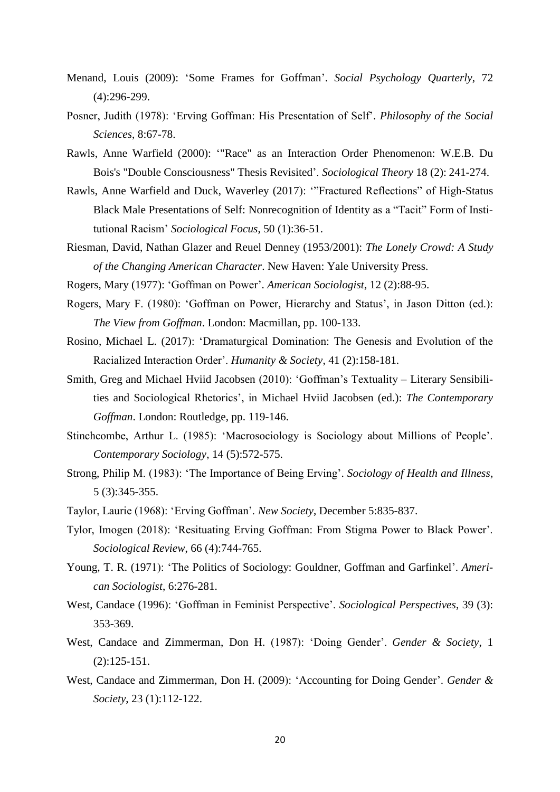- Menand, Louis (2009): 'Some Frames for Goffman'. *Social Psychology Quarterly*, 72 (4):296-299.
- Posner, Judith (1978): 'Erving Goffman: His Presentation of Self'. *Philosophy of the Social Sciences*, 8:67-78.
- Rawls, Anne Warfield (2000): '"Race" as an Interaction Order Phenomenon: W.E.B. Du Bois's "Double Consciousness" Thesis Revisited'. *Sociological Theory* 18 (2): 241-274.
- Rawls, Anne Warfield and Duck, Waverley (2017): '"Fractured Reflections" of High-Status Black Male Presentations of Self: Nonrecognition of Identity as a "Tacit" Form of Institutional Racism' *Sociological Focus*, 50 (1):36-51.
- Riesman, David, Nathan Glazer and Reuel Denney (1953/2001): *The Lonely Crowd: A Study of the Changing American Character*. New Haven: Yale University Press.

Rogers, Mary (1977): 'Goffman on Power'. *American Sociologist*, 12 (2):88-95.

- Rogers, Mary F. (1980): 'Goffman on Power, Hierarchy and Status', in Jason Ditton (ed.): *The View from Goffman*. London: Macmillan, pp. 100-133.
- Rosino, Michael L. (2017): 'Dramaturgical Domination: The Genesis and Evolution of the Racialized Interaction Order'. *Humanity & Society*, 41 (2):158-181.
- Smith, Greg and Michael Hviid Jacobsen (2010): 'Goffman's Textuality Literary Sensibilities and Sociological Rhetorics', in Michael Hviid Jacobsen (ed.): *The Contemporary Goffman*. London: Routledge, pp. 119-146.
- Stinchcombe, Arthur L. (1985): 'Macrosociology is Sociology about Millions of People'. *Contemporary Sociology*, 14 (5):572-575.
- Strong, Philip M. (1983): 'The Importance of Being Erving'. *Sociology of Health and Illness*, 5 (3):345-355.
- Taylor, Laurie (1968): 'Erving Goffman'. *New Society*, December 5:835-837.
- Tylor, Imogen (2018): 'Resituating Erving Goffman: From Stigma Power to Black Power'. *Sociological Review*, 66 (4):744-765.
- Young, T. R. (1971): 'The Politics of Sociology: Gouldner, Goffman and Garfinkel'. *American Sociologist*, 6:276-281.
- West, Candace (1996): 'Goffman in Feminist Perspective'. *Sociological Perspectives*, 39 (3): 353-369.
- West, Candace and Zimmerman, Don H. (1987): 'Doing Gender'. *Gender & Society*, 1 (2):125-151.
- West, Candace and Zimmerman, Don H. (2009): 'Accounting for Doing Gender'. *Gender & Society*, 23 (1):112-122.